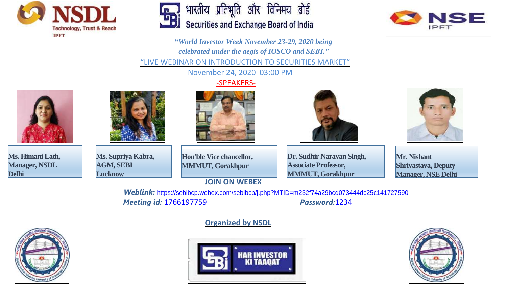





**"***World Investor Week November 23-29, 2020 being celebrated under the aegis of IOSCO and SEBI."* "LIVE WEBINAR ON INTRODUCTION TO SECURITIES MARKET"

November 24, 2020 03:00 PM

### -SPEAKERS-



**Ms. Himani Lath, Manager, NSDL Delhi**



**Ms. Supriya Kabra, AGM, SEBI Lucknow**







**Hon'ble Vice chancellor, MMMUT, Gorakhpur**

# **JOIN ON WEBEX**

**Dr. Sudhir Narayan Singh, Associate Professor, MMMUT, Gorakhpur**

**Mr. Nishant Shrivastava, Deputy Manager, NSE Delhi**

*Weblink:* <https://sebibcp.webex.com/sebibcp/j.php?MTID=m232f74a29bcd073444dc25c141727590> *Meeting id:* 1766197759 *Password:*1234

# **Organized by NSDL**